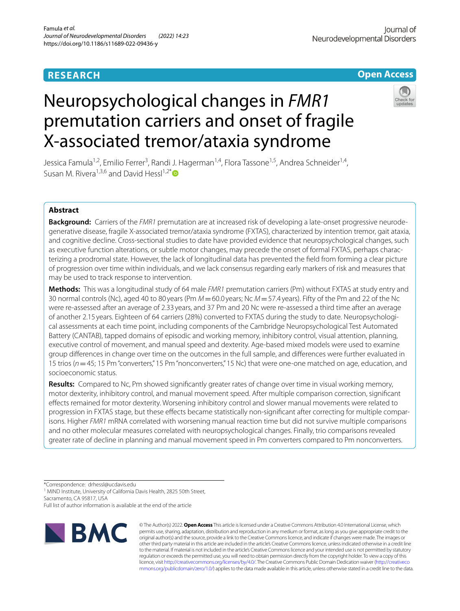# **RESEARCH**

# **Open Access**

# Neuropsychological changes in *FMR1* premutation carriers and onset of fragile X-associated tremor/ataxia syndrome

Jessica Famula<sup>1,2</sup>, Emilio Ferrer<sup>3</sup>, Randi J. Hagerman<sup>1,4</sup>, Flora Tassone<sup>1,5</sup>, Andrea Schneider<sup>1,4</sup>, Susan M. Rivera<sup>1,3,6</sup> and David Hessl<sup>1,2[\\*](http://orcid.org/0000-0002-3460-9805)</sup>

# **Abstract**

**Background:** Carriers of the *FMR1* premutation are at increased risk of developing a late-onset progressive neurodegenerative disease, fragile X-associated tremor/ataxia syndrome (FXTAS), characterized by intention tremor, gait ataxia, and cognitive decline. Cross-sectional studies to date have provided evidence that neuropsychological changes, such as executive function alterations, or subtle motor changes, may precede the onset of formal FXTAS, perhaps characterizing a prodromal state. However, the lack of longitudinal data has prevented the feld from forming a clear picture of progression over time within individuals, and we lack consensus regarding early markers of risk and measures that may be used to track response to intervention.

**Methods:** This was a longitudinal study of 64 male *FMR1* premutation carriers (Pm) without FXTAS at study entry and 30 normal controls (Nc), aged 40 to 80 years (Pm *M*=60.0 years; Nc *M*=57.4 years). Fifty of the Pm and 22 of the Nc were re-assessed after an average of 2.33 years, and 37 Pm and 20 Nc were re-assessed a third time after an average of another 2.15 years. Eighteen of 64 carriers (28%) converted to FXTAS during the study to date. Neuropsychological assessments at each time point, including components of the Cambridge Neuropsychological Test Automated Battery (CANTAB), tapped domains of episodic and working memory, inhibitory control, visual attention, planning, executive control of movement, and manual speed and dexterity. Age-based mixed models were used to examine group diferences in change over time on the outcomes in the full sample, and diferences were further evaluated in 15 trios (*n*=45; 15 Pm "converters," 15 Pm "nonconverters," 15 Nc) that were one-one matched on age, education, and socioeconomic status.

**Results:** Compared to Nc, Pm showed signifcantly greater rates of change over time in visual working memory, motor dexterity, inhibitory control, and manual movement speed. After multiple comparison correction, signifcant efects remained for motor dexterity. Worsening inhibitory control and slower manual movements were related to progression in FXTAS stage, but these effects became statistically non-significant after correcting for multiple comparisons. Higher *FMR1* mRNA correlated with worsening manual reaction time but did not survive multiple comparisons and no other molecular measures correlated with neuropsychological changes. Finally, trio comparisons revealed greater rate of decline in planning and manual movement speed in Pm converters compared to Pm nonconverters.

\*Correspondence: drhessl@ucdavis.edu

<sup>1</sup> MIND Institute, University of California Davis Health, 2825 50th Street, Sacramento, CA 95817, USA

Full list of author information is available at the end of the article



© The Author(s) 2022. **Open Access** This article is licensed under a Creative Commons Attribution 4.0 International License, which permits use, sharing, adaptation, distribution and reproduction in any medium or format, as long as you give appropriate credit to the original author(s) and the source, provide a link to the Creative Commons licence, and indicate if changes were made. The images or other third party material in this article are included in the article's Creative Commons licence, unless indicated otherwise in a credit line to the material. If material is not included in the article's Creative Commons licence and your intended use is not permitted by statutory regulation or exceeds the permitted use, you will need to obtain permission directly from the copyright holder. To view a copy of this licence, visit [http://creativecommons.org/licenses/by/4.0/.](http://creativecommons.org/licenses/by/4.0/) The Creative Commons Public Domain Dedication waiver ([http://creativeco](http://creativecommons.org/publicdomain/zero/1.0/) [mmons.org/publicdomain/zero/1.0/](http://creativecommons.org/publicdomain/zero/1.0/)) applies to the data made available in this article, unless otherwise stated in a credit line to the data.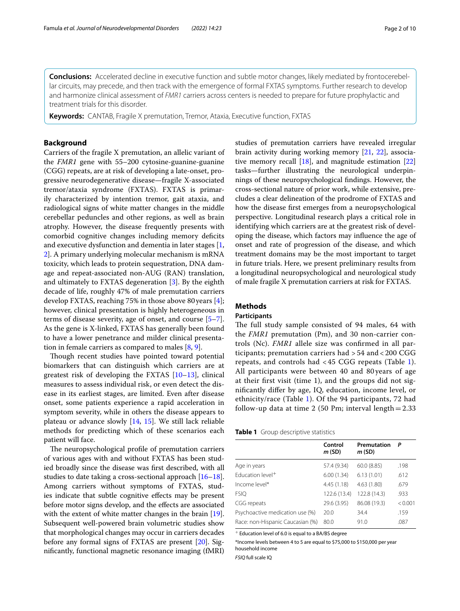**Conclusions:** Accelerated decline in executive function and subtle motor changes, likely mediated by frontocerebellar circuits, may precede, and then track with the emergence of formal FXTAS symptoms. Further research to develop and harmonize clinical assessment of *FMR1* carriers across centers is needed to prepare for future prophylactic and treatment trials for this disorder.

**Keywords:** CANTAB, Fragile X premutation, Tremor, Ataxia, Executive function, FXTAS

### **Background**

Carriers of the fragile X premutation, an allelic variant of the *FMR1* gene with 55–200 cytosine-guanine-guanine (CGG) repeats, are at risk of developing a late-onset, progressive neurodegenerative disease—fragile X-associated tremor/ataxia syndrome (FXTAS). FXTAS is primarily characterized by intention tremor, gait ataxia, and radiological signs of white matter changes in the middle cerebellar peduncles and other regions, as well as brain atrophy. However, the disease frequently presents with comorbid cognitive changes including memory defcits and executive dysfunction and dementia in later stages [\[1](#page-7-0), [2\]](#page-8-0). A primary underlying molecular mechanism is mRNA toxicity, which leads to protein sequestration, DNA damage and repeat-associated non-AUG (RAN) translation, and ultimately to FXTAS degeneration [\[3](#page-8-1)]. By the eighth decade of life, roughly 47% of male premutation carriers develop FXTAS, reaching 75% in those above 80 years [\[4](#page-8-2)]; however, clinical presentation is highly heterogeneous in terms of disease severity, age of onset, and course [\[5](#page-8-3)[–7](#page-8-4)]. As the gene is X-linked, FXTAS has generally been found to have a lower penetrance and milder clinical presentation in female carriers as compared to males [\[8](#page-8-5), [9\]](#page-8-6).

Though recent studies have pointed toward potential biomarkers that can distinguish which carriers are at greatest risk of developing the FXTAS [\[10](#page-8-7)[–13](#page-8-8)], clinical measures to assess individual risk, or even detect the disease in its earliest stages, are limited. Even after disease onset, some patients experience a rapid acceleration in symptom severity, while in others the disease appears to plateau or advance slowly [\[14,](#page-8-9) [15](#page-8-10)]. We still lack reliable methods for predicting which of these scenarios each patient will face.

The neuropsychological profile of premutation carriers of various ages with and without FXTAS has been studied broadly since the disease was frst described, with all studies to date taking a cross-sectional approach [[16–](#page-8-11)[18](#page-8-12)]. Among carriers without symptoms of FXTAS, studies indicate that subtle cognitive efects may be present before motor signs develop, and the efects are associated with the extent of white matter changes in the brain [\[19](#page-8-13)]. Subsequent well-powered brain volumetric studies show that morphological changes may occur in carriers decades before any formal signs of FXTAS are present [\[20\]](#page-8-14). Signifcantly, functional magnetic resonance imaging (fMRI) studies of premutation carriers have revealed irregular brain activity during working memory [[21](#page-8-15), [22](#page-8-16)], associative memory recall  $[18]$  $[18]$  $[18]$ , and magnitude estimation  $[22]$  $[22]$  $[22]$ tasks—further illustrating the neurological underpinnings of these neuropsychological fndings. However, the cross-sectional nature of prior work, while extensive, precludes a clear delineation of the prodrome of FXTAS and how the disease frst emerges from a neuropsychological perspective. Longitudinal research plays a critical role in identifying which carriers are at the greatest risk of developing the disease, which factors may infuence the age of onset and rate of progression of the disease, and which treatment domains may be the most important to target in future trials. Here, we present preliminary results from a longitudinal neuropsychological and neurological study of male fragile X premutation carriers at risk for FXTAS.

# **Methods**

### **Participants**

The full study sample consisted of 94 males, 64 with the *FMR1* premutation (Pm), and 30 non-carrier controls (Nc). *FMR1* allele size was confrmed in all participants; premutation carriers had > 54 and < 200 CGG repeats, and controls had < 45 CGG repeats (Table [1](#page-1-0)). All participants were between 40 and 80 years of age at their frst visit (time 1), and the groups did not signifcantly difer by age, IQ, education, income level, or ethnicity/race (Table [1\)](#page-1-0). Of the 94 participants, 72 had follow-up data at time 2 (50 Pm; interval length=2.33

<span id="page-1-0"></span>

|                                  | Control<br>m (SD) | Premutation<br>m(SD) | P       |
|----------------------------------|-------------------|----------------------|---------|
| Age in years                     | 57.4 (9.34)       | 60.0(8.85)           | .198    |
| Education level <sup>+</sup>     | 6.00(1.34)        | 6.13(1.01)           | .612    |
| Income level*                    | 4.45(1.18)        | 4.63(1.80)           | .679    |
| <b>FSIO</b>                      | 122.6 (13.4)      | 122.8 (14.3)         | .933    |
| CGG repeats                      | 29.6 (3.95)       | 86.08 (19.3)         | < 0.001 |
| Psychoactive medication use (%)  | 20.0              | 34.4                 | .159    |
| Race: non-Hispanic Caucasian (%) | 80.0              | 91.0                 | .087    |

 $+$  Education level of 6.0 is equal to a BA/BS degree

\*Income levels between 4 to 5 are equal to \$75,000 to \$150,000 per year household income

*FSIQ* full scale IQ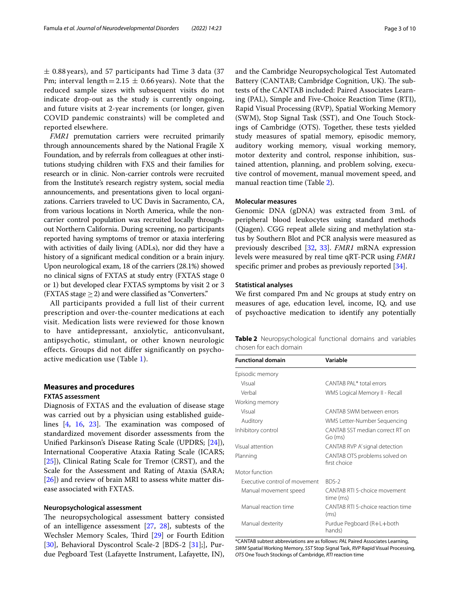$\pm$  0.88 years), and 57 participants had Time 3 data (37 Pm; interval length =  $2.15 \pm 0.66$  years). Note that the reduced sample sizes with subsequent visits do not indicate drop-out as the study is currently ongoing, and future visits at 2-year increments (or longer, given COVID pandemic constraints) will be completed and reported elsewhere.

*FMR1* premutation carriers were recruited primarily through announcements shared by the National Fragile X Foundation, and by referrals from colleagues at other institutions studying children with FXS and their families for research or in clinic. Non-carrier controls were recruited from the Institute's research registry system, social media announcements, and presentations given to local organizations. Carriers traveled to UC Davis in Sacramento, CA, from various locations in North America, while the noncarrier control population was recruited locally throughout Northern California. During screening, no participants reported having symptoms of tremor or ataxia interfering with activities of daily living (ADLs), nor did they have a history of a signifcant medical condition or a brain injury. Upon neurological exam, 18 of the carriers (28.1%) showed no clinical signs of FXTAS at study entry (FXTAS stage 0 or 1) but developed clear FXTAS symptoms by visit 2 or 3 (FXTAS stage  $\geq$  2) and were classified as "Converters."

All participants provided a full list of their current prescription and over-the-counter medications at each visit. Medication lists were reviewed for those known to have antidepressant, anxiolytic, anticonvulsant, antipsychotic, stimulant, or other known neurologic effects. Groups did not differ significantly on psychoactive medication use (Table [1\)](#page-1-0).

#### **Measures and procedures**

#### **FXTAS assessment**

Diagnosis of FXTAS and the evaluation of disease stage was carried out by a physician using established guidelines  $[4, 16, 23]$  $[4, 16, 23]$  $[4, 16, 23]$  $[4, 16, 23]$  $[4, 16, 23]$  $[4, 16, 23]$ . The examination was composed of standardized movement disorder assessments from the Unifed Parkinson's Disease Rating Scale (UPDRS; [\[24\]](#page-8-18)), International Cooperative Ataxia Rating Scale (ICARS; [[25\]](#page-8-19)), Clinical Rating Scale for Tremor (CRST), and the Scale for the Assessment and Rating of Ataxia (SARA; [[26\]](#page-8-20)) and review of brain MRI to assess white matter disease associated with FXTAS.

#### **Neuropsychological assessment**

The neuropsychological assessment battery consisted of an intelligence assessment [[27,](#page-8-21) [28\]](#page-8-22), subtests of the Wechsler Memory Scales, Third [\[29](#page-8-23)] or Fourth Edition [[30\]](#page-8-24), Behavioral Dyscontrol Scale-2 [BDS-2 [[31\]](#page-8-25);], Purdue Pegboard Test (Lafayette Instrument, Lafayette, IN), and the Cambridge Neuropsychological Test Automated Battery (CANTAB; Cambridge Cognition, UK). The subtests of the CANTAB included: Paired Associates Learning (PAL), Simple and Five-Choice Reaction Time (RTI), Rapid Visual Processing (RVP), Spatial Working Memory (SWM), Stop Signal Task (SST), and One Touch Stockings of Cambridge (OTS). Together, these tests yielded study measures of spatial memory, episodic memory, auditory working memory, visual working memory, motor dexterity and control, response inhibition, sustained attention, planning, and problem solving, executive control of movement, manual movement speed, and manual reaction time (Table [2](#page-2-0)).

#### **Molecular measures**

Genomic DNA (gDNA) was extracted from 3mL of peripheral blood leukocytes using standard methods (Qiagen). CGG repeat allele sizing and methylation status by Southern Blot and PCR analysis were measured as previously described [[32,](#page-8-26) [33\]](#page-8-27). *FMR1* mRNA expression levels were measured by real time qRT-PCR using *FMR1* specific primer and probes as previously reported [\[34\]](#page-8-28).

#### **Statistical analyses**

We frst compared Pm and Nc groups at study entry on measures of age, education level, income, IQ, and use of psychoactive medication to identify any potentially

<span id="page-2-0"></span>

| <b>Table 2</b> Neuropsychological functional domains and variables |  |  |
|--------------------------------------------------------------------|--|--|
| chosen for each domain                                             |  |  |

| <b>Functional domain</b>      | Variable                                      |
|-------------------------------|-----------------------------------------------|
| Episodic memory               |                                               |
| Visual                        | CANTAR PAL <sup>*</sup> total errors          |
| Verbal                        | WMS Logical Memory II - Recall                |
| Working memory                |                                               |
| Visual                        | CANTAB SWM between errors                     |
| Auditory                      | WMS Letter-Number Sequencing                  |
| Inhibitory control            | CANTAB SST median correct RT on<br>Go (ms)    |
| Visual attention              | CANTAB RVP A' signal detection                |
| Planning                      | CANTAB OTS problems solved on<br>first choice |
| Motor function                |                                               |
| Executive control of movement | BDS-2                                         |
| Manual movement speed         | CANTAB RTI 5-choice movement<br>time (ms)     |
| Manual reaction time          | CANTAB RTI 5-choice reaction time<br>(ms)     |
| Manual dexterity              | Purdue Pegboard (R+L+both<br>hands)           |

\*CANTAB subtest abbreviations are as follows: *PAL* Paired Associates Learning, *SWM* Spatial Working Memory, *SST* Stop Signal Task, *RVP* Rapid Visual Processing, *OTS* One Touch Stockings of Cambridge, *RTI* reaction time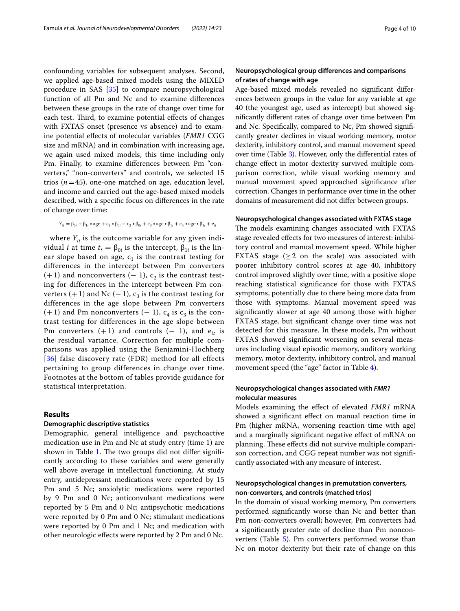confounding variables for subsequent analyses. Second, we applied age-based mixed models using the MIXED procedure in SAS [[35](#page-8-29)] to compare neuropsychological function of all Pm and Nc and to examine diferences between these groups in the rate of change over time for each test. Third, to examine potential effects of changes with FXTAS onset (presence vs absence) and to examine potential efects of molecular variables (*FMR1* CGG size and mRNA) and in combination with increasing age, we again used mixed models, this time including only Pm. Finally, to examine diferences between Pm "converters," "non-converters" and controls, we selected 15 trios (*n*=45), one-one matched on age, education level, and income and carried out the age-based mixed models described, with a specifc focus on diferences in the rate of change over time:

$$
Y_{it} = \beta_{0i} + \beta_{1i} \cdot \text{age} + c_1 \cdot \beta_{0i} + c_2 \cdot \beta_{0i} + c_3 \cdot \text{age} \cdot \beta_{1i} + c_4 \cdot \text{age} \cdot \beta_{1i} + e_{it}
$$

where  $Y_{it}$  is the outcome variable for any given indi*v*idual *i* at time  $t$ ,  $= \beta_{0i}$  is the intercept,  $β_{1i}$  is the linear slope based on age,  $c_1$  is the contrast testing for differences in the intercept between Pm converters  $(+)$  and nonconverters  $(-1)$ ,  $c<sub>2</sub>$  is the contrast testing for differences in the intercept between Pm converters (+ 1) and Nc (− 1),  $c_3$  is the contrast testing for differences in the age slope between Pm converters  $(+ 1)$  and Pm nonconverters  $(- 1)$ ,  $c_4$  is  $c_3$  is the contrast testing for differences in the age slope between Pm converters  $(+1)$  and controls  $(-1)$ , and  $e_{it}$  is the residual variance. Correction for multiple comparisons was applied using the Benjamini-Hochberg [[36](#page-8-30)] false discovery rate (FDR) method for all effects pertaining to group differences in change over time. Footnotes at the bottom of tables provide guidance for statistical interpretation.

#### **Results**

#### **Demographic descriptive statistics**

Demographic, general intelligence and psychoactive medication use in Pm and Nc at study entry (time 1) are shown in Table [1.](#page-1-0) The two groups did not differ significantly according to these variables and were generally well above average in intellectual functioning. At study entry, antidepressant medications were reported by 15 Pm and 5 Nc; anxiolytic medications were reported by 9 Pm and 0 Nc; anticonvulsant medications were reported by 5 Pm and 0 Nc; antipsychotic medications were reported by 0 Pm and 0 Nc; stimulant medications were reported by 0 Pm and 1 Nc; and medication with other neurologic efects were reported by 2 Pm and 0 Nc.

## **Neuropsychological group diferences and comparisons of rates of change with age**

Age-based mixed models revealed no signifcant diferences between groups in the value for any variable at age 40 (the youngest age, used as intercept) but showed signifcantly diferent rates of change over time between Pm and Nc. Specifcally, compared to Nc, Pm showed signifcantly greater declines in visual working memory, motor dexterity, inhibitory control, and manual movement speed over time (Table [3\)](#page-4-0). However, only the diferential rates of change efect in motor dexterity survived multiple comparison correction, while visual working memory and manual movement speed approached signifcance after correction. Changes in performance over time in the other domains of measurement did not difer between groups.

#### **Neuropsychological changes associated with FXTAS stage**

The models examining changes associated with FXTAS stage revealed efects for two measures of interest: inhibitory control and manual movement speed. While higher FXTAS stage  $(≥2$  on the scale) was associated with poorer inhibitory control scores at age 40, inhibitory control improved slightly over time, with a positive slope reaching statistical signifcance for those with FXTAS symptoms, potentially due to there being more data from those with symptoms. Manual movement speed was signifcantly slower at age 40 among those with higher FXTAS stage, but signifcant change over time was not detected for this measure. In these models, Pm without FXTAS showed signifcant worsening on several measures including visual episodic memory, auditory working memory, motor dexterity, inhibitory control, and manual movement speed (the "age" factor in Table [4](#page-5-0)).

### **Neuropsychological changes associated with** *FMR1* **molecular measures**

Models examining the efect of elevated *FMR1* mRNA showed a signifcant efect on manual reaction time in Pm (higher mRNA, worsening reaction time with age) and a marginally signifcant negative efect of mRNA on planning. These effects did not survive multiple comparison correction, and CGG repeat number was not signifcantly associated with any measure of interest.

#### **Neuropsychological changes in premutation converters, non‑converters, and controls (matched trios)**

In the domain of visual working memory, Pm converters performed signifcantly worse than Nc and better than Pm non-converters overall; however, Pm converters had a signifcantly greater rate of decline than Pm noncon-verters (Table [5\)](#page-5-1). Pm converters performed worse than Nc on motor dexterity but their rate of change on this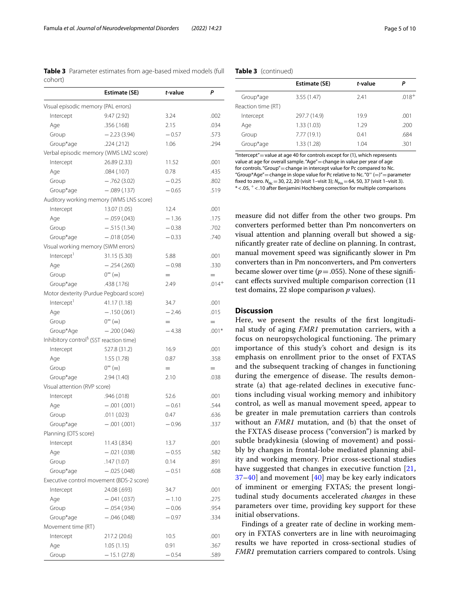<span id="page-4-0"></span>**Table 3** Parameter estimates from age-based mixed models (full cohort)

|                                                     | <b>Estimate (SE)</b>                     | t-value | P        |
|-----------------------------------------------------|------------------------------------------|---------|----------|
| Visual episodic memory (PAL errors)                 |                                          |         |          |
| Intercept                                           | 9.47(2.92)                               | 3.24    | .002     |
| Age                                                 | .356 (.168)                              | 2.15    | .034     |
| Group                                               | $-2.23(3.94)$                            | $-0.57$ | .573     |
| Group*age                                           | .224(.212)                               | 1.06    | .294     |
|                                                     | Verbal episodic memory (WMS LM2 score)   |         |          |
| Intercept                                           | 26.89 (2.33)                             | 11.52   | .001     |
| Age                                                 | .084 (.107)                              | 0.78    | .435     |
| Group                                               | $-.762(3.02)$                            | $-0.25$ | .802     |
| Group*age                                           | $-.089(.137)$                            | $-0.65$ | .519     |
|                                                     | Auditory working memory (WMS LNS score)  |         |          |
| Intercept                                           | 13.07 (1.05)                             | 12.4    | .001     |
| Age                                                 | $-.059(.043)$                            | $-1.36$ | .175     |
| Group                                               | $-.515(1.34)$                            | $-0.38$ | .702     |
| Group*age                                           | $-.018(.054)$                            | $-0.33$ | .740     |
| Visual working memory (SWM errors)                  |                                          |         |          |
| Intercept <sup>1</sup>                              | 31.15 (5.30)                             | 5.88    | .001     |
| Age                                                 | $-.254(.260)$                            | $-0.98$ | .330     |
| Group                                               | $0 = (=)$                                | $=$     | $=$      |
| Group*age                                           | .438 (.176)                              | 2.49    | $.014 +$ |
|                                                     | Motor dexterity (Purdue Pegboard score)  |         |          |
| Intercept <sup>1</sup>                              | 41.17 (1.18)                             | 34.7    | .001     |
| Age                                                 | $-.150(.061)$                            | $-2.46$ | .015     |
| Group                                               | $0^{-} (=)$                              |         |          |
|                                                     |                                          | $=$     | $=$      |
| Group*Age                                           | $-.200(.046)$                            | $-4.38$ | $.001*$  |
| Inhibitory control <sup>§</sup> (SST reaction time) |                                          |         |          |
| Intercept                                           | 527.8 (31.2)                             | 16.9    | .001     |
| Age                                                 | 1.55(1.78)                               | 0.87    | .358     |
| Group                                               | $0^{-} (=)$                              | $=$     | $=$      |
| Group*age                                           | 2.94(1.40)                               | 2.10    | .038     |
| Visual attention (RVP score)                        |                                          |         |          |
| Intercept                                           | .946 (.018)                              | 52.6    | .001     |
| Age                                                 | $-.001(.001)$                            | $-0.61$ | .544     |
| Group                                               | .011(.023)                               | 0.47    | .636     |
| Group*age                                           | $-.001(.001)$                            | $-0.96$ | .337     |
| Planning (OTS score)                                |                                          |         |          |
| Intercept                                           | 11.43 (.834)                             | 13.7    | .001     |
| Age                                                 | $-.021(.038)$                            | $-0.55$ | .582     |
| Group                                               | .147 (1.07)                              | 0.14    | .891     |
| Group*age                                           | $-.025(.048)$                            | $-0.51$ | .608     |
|                                                     | Executive control movement (BDS-2 score) |         |          |
| Intercept                                           | 24.08 (.693)                             | 34.7    | .001     |
| Age                                                 | $-.041(.037)$                            | $-1.10$ | .275     |
| Group                                               | $-.054(.934)$                            | $-0.06$ | .954     |
| Group*age                                           | $-.046(.048)$                            | $-0.97$ | .334     |
| Movement time (RT)                                  |                                          |         |          |
| Intercept                                           | 217.2 (20.6)                             | 10.5    | .001     |
| Age                                                 | 1.05(1.15)                               | 0.91    | .367     |
| Group                                               | — 15.1 (27.8)                            | $-0.54$ | .589     |

#### **Table 3** (continued)

|                    | Estimate (SE) | t-value | Ρ       |
|--------------------|---------------|---------|---------|
| Group*age          | 3.55(1.47)    | 2.41    | $.018+$ |
| Reaction time (RT) |               |         |         |
| Intercept          | 297.7 (14.9)  | 19.9    | .001    |
| Age                | 1.33(1.03)    | 1 29    | .200    |
| Group              | 7.77(19.1)    | 0.41    | .684    |
| Group*age          | 1.33 (1.28)   | 1.04    | .301    |
|                    |               |         |         |

"Intercept"=value at age 40 for controls except for (1), which represents value at age for overall sample. "Age" = change in value per year of age for controls. "Group"=change in intercept value for Pc compared to Nc. "Group\*Age" = change in slope value for Pc relative to Nc. " $0^= (=)'$  = parameter fixed to zero.  $N_{\text{Nc}} = 30$ , 22, 20 (visit 1–visit 3);  $N_{\text{Pm}} = 64$ , 50, 37 (visit 1–visit 3). \*<.05, <sup>+</sup> <.10 after Benjamini Hochberg correction for multiple comparisons

measure did not difer from the other two groups. Pm converters performed better than Pm nonconverters on visual attention and planning overall but showed a signifcantly greater rate of decline on planning. In contrast, manual movement speed was signifcantly slower in Pm converters than in Pm nonconverters, and Pm converters became slower over time  $(p=.055)$ . None of these significant efects survived multiple comparison correction (11 test domains, 22 slope comparison *p* values).

#### **Discussion**

Here, we present the results of the frst longitudinal study of aging *FMR1* premutation carriers, with a focus on neuropsychological functioning. The primary importance of this study's cohort and design is its emphasis on enrollment prior to the onset of FXTAS and the subsequent tracking of changes in functioning during the emergence of disease. The results demonstrate (a) that age-related declines in executive functions including visual working memory and inhibitory control, as well as manual movement speed, appear to be greater in male premutation carriers than controls without an *FMR1* mutation, and (b) that the onset of the FXTAS disease process ("conversion") is marked by subtle bradykinesia (slowing of movement) and possibly by changes in frontal-lobe mediated planning ability and working memory. Prior cross-sectional studies have suggested that changes in executive function [\[21](#page-8-15), [37–](#page-8-31)[40](#page-8-32)] and movement [[40\]](#page-8-32) may be key early indicators of imminent or emerging FXTAS; the present longitudinal study documents accelerated *changes* in these parameters over time, providing key support for these initial observations.

Findings of a greater rate of decline in working memory in FXTAS converters are in line with neuroimaging results we have reported in cross-sectional studies of *FMR1* premutation carriers compared to controls. Using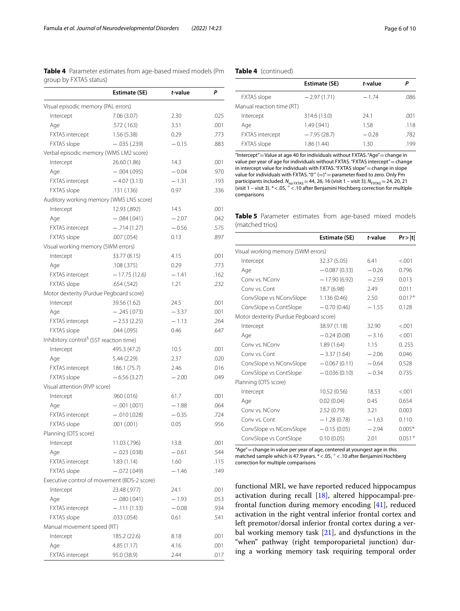<span id="page-5-0"></span>**Table 4** Parameter estimates from age-based mixed models (Pm group by FXTAS status)

|                                                     | <b>Estimate (SE)</b> | t-value | P    |
|-----------------------------------------------------|----------------------|---------|------|
| Visual episodic memory (PAL errors)                 |                      |         |      |
| Intercept                                           | 7.06 (3.07)          | 2.30    | .025 |
| Age                                                 | .572 (.163)          | 3.51    | .001 |
| <b>FXTAS</b> intercept                              | 1.56(5.38)           | 0.29    | .773 |
| FXTAS slope                                         | $-.035(.239)$        | $-0.15$ | .883 |
| Verbal episodic memory (WMS LM2 score)              |                      |         |      |
| Intercept                                           | 26.60 (1.86)         | 14.3    | .001 |
| Age                                                 | $-.004(.095)$        | $-0.04$ | .970 |
| FXTAS intercept                                     | $-4.07(3.13)$        | $-1.31$ | .193 |
| <b>FXTAS</b> slope                                  | .131(.136)           | 0.97    | .336 |
| Auditory working memory (WMS LNS score)             |                      |         |      |
| Intercept                                           | 12.93 (.892)         | 14.5    | .001 |
| Age                                                 | $-.084(.041)$        | $-2.07$ | .042 |
| <b>FXTAS</b> intercept                              | $-.714(1.27)$        | $-0.56$ | .575 |
| <b>FXTAS</b> slope                                  | .007(.054)           | 0.13    | .897 |
| Visual working memory (SWM errors)                  |                      |         |      |
| Intercept                                           | 33.77 (8.15)         | 4.15    | .001 |
| Age                                                 | .108(.375)           | 0.29    | .773 |
| <b>FXTAS</b> intercept                              | $-17.75(12.6)$       | $-1.41$ | .162 |
| <b>FXTAS</b> slope                                  | .654(.542)           | 1.21    | .232 |
| Motor dexterity (Purdue Pegboard score)             |                      |         |      |
| Intercept                                           | 39.56 (1.62)         | 24.5    | .001 |
| Age                                                 | $-.245(.073)$        | $-3.37$ | .001 |
| FXTAS intercept                                     | $-2.53(2.25)$        | $-1.13$ | .264 |
| <b>FXTAS</b> slope                                  | .044(.095)           | 0.46    | .647 |
| Inhibitory control <sup>§</sup> (SST reaction time) |                      |         |      |
|                                                     |                      |         | .001 |
| Intercept                                           | 495.3 (47.2)         | 10.5    |      |
| Age                                                 | 5.44 (2.29)          | 2.37    | .020 |
| <b>FXTAS</b> intercept                              | 186.1 (75.7)         | 2.46    | .016 |
| FXTAS slope                                         | $-6.56(3.27)$        | $-2.00$ | .049 |
| Visual attention (RVP score)                        |                      |         |      |
| Intercept                                           | .960 (.016)          | 61.7    | .001 |
| Age                                                 | $-.001(.001)$        | $-1.88$ | .064 |
| FXTAS intercept                                     | $-.010(.028)$        | $-0.35$ | .724 |
| FXTAS slope                                         | .001(.001)           | 0.05    | .956 |
| Planning (OTS score)                                |                      |         |      |
| Intercept                                           | 11.03 (.796)         | 13.8    | .001 |
| Age                                                 | $-.023(.038)$        | $-0.61$ | .544 |
| <b>FXTAS</b> intercept                              | 1.83(1.14)           | 1.60    | .115 |
| <b>FXTAS</b> slope                                  | $-.072(.049)$        | $-1.46$ | .149 |
| Executive control of movement (BDS-2 score)         |                      |         |      |
| Intercept                                           | 23.48 (.977)         | 24.1    | .001 |
| Age                                                 | $-.080(.041)$        | $-1.93$ | .053 |
| <b>FXTAS</b> intercept                              | $-.111(1.33)$        | $-0.08$ | .934 |
| <b>FXTAS</b> slope                                  | .033 (.054)          | 0.61    | .541 |
| Manual movement speed (RT)                          |                      |         |      |
| Intercept                                           | 185.2 (22.6)         | 8.18    | .001 |
| Age                                                 | 4.85(1.17)           | 4.16    | .001 |
| <b>FXTAS</b> intercept                              | 95.0 (38.9)          | 2.44    | .017 |

#### **Table 4** (continued)

|                           | Estimate (SE) | t-value |      |
|---------------------------|---------------|---------|------|
| <b>FXTAS</b> slope        | $-2.97(1.71)$ | $-1.74$ | .086 |
| Manual reaction time (RT) |               |         |      |
| Intercept                 | 314.6 (13.0)  | 24.1    | .001 |
| Age                       | 1.49(.941)    | 1.58    | .118 |
| <b>FXTAS</b> intercept    | $-7.95(28.7)$ | $-0.28$ | .782 |
| <b>FXTAS</b> slope        | 1.86(1.44)    | 1.30    | .199 |

"Intercept"=Value at age 40 for individuals without FXTAS. "Age"=change in value per year of age for individuals without FXTAS. "FXTAS intercept"=change in intercept value for individuals with FXTAS. "FXTAS slope"=change in slope value for individuals with FXTAS. " $0^{\circ}$  (=)" = parameter fixed to zero. Only Pm participants included. *N*<sub>no FXTAS</sub> = 44, 26, 16 (visit 1 – visit 3); *N*<sub>FXTAS</sub> = 24, 20, 21 (visit 1 – visit 3). \*<.05, <sup>+</sup> <.10 after Benjamini Hochberg correction for multiple comparisons

<span id="page-5-1"></span>**Table 5** Parameter estimates from age-based mixed models (matched trios)

|                                         | Estimate (SE)  | t-value | Pr >  t  |
|-----------------------------------------|----------------|---------|----------|
| Visual working memory (SWM errors)      |                |         |          |
| Intercept                               | 32.37 (5.05)   | 6.41    | < 0.01   |
| Age                                     | $-0.087(0.33)$ | $-0.26$ | 0.796    |
| Conv vs. NConv                          | $-17.90(6.92)$ | $-2.59$ | 0.013    |
| Conv vs. Cont                           | 18.7 (6.98)    | 2.49    | 0.011    |
| ConvSlope vs NConvSlope                 | 1.136(0.46)    | 2.50    | $0.017+$ |
| ConvSlope vs ContSlope                  | $-0.70(0.46)$  | $-1.55$ | 0.128    |
| Motor dexterity (Purdue Pegboard score) |                |         |          |
| Intercept                               | 38.97 (1.18)   | 32.90   | < 0.01   |
| Age                                     | $-0.24(0.08)$  | $-3.16$ | < .001   |
| Conv vs. NConv                          | 1.89(1.64)     | 1.15    | 0.255    |
| Conv vs. Cont                           | $-3.37(1.64)$  | $-2.06$ | 0.046    |
| ConvSlope vs NConvSlope                 | $-0.067(0.11)$ | $-0.64$ | 0.528    |
| ConvSlope vs ContSlope                  | $-0.036(0.10)$ | $-0.34$ | 0.735    |
| Planning (OTS score)                    |                |         |          |
| Intercept                               | 10.52(0.56)    | 18.53   | < 0.01   |
| Age                                     | 0.02(0.04)     | 0.45    | 0.654    |
| Conv vs. NConv                          | 2.52(0.79)     | 3.21    | 0.003    |
| Conv vs. Cont                           | $-1.28(0.78)$  | $-1.63$ | 0.110    |
| ConvSlope vs NConvSlope                 | $-0.15(0.05)$  | $-2.94$ | $0.005*$ |
| ConvSlope vs ContSlope                  | 0.10(0.05)     | 2.01    | $0.051+$ |

"Age" = change in value per year of age, centered at youngest age in this matched sample which is 47.9years. \*<.05, <sup>+</sup> <.10 after Benjamini Hochberg correction for multiple comparisons

functional MRI, we have reported reduced hippocampus activation during recall [[18\]](#page-8-12), altered hippocampal-prefrontal function during memory encoding [[41\]](#page-8-33), reduced activation in the right ventral inferior frontal cortex and left premotor/dorsal inferior frontal cortex during a verbal working memory task [[21\]](#page-8-15), and dysfunctions in the "when" pathway (right temporoparietal junction) during a working memory task requiring temporal order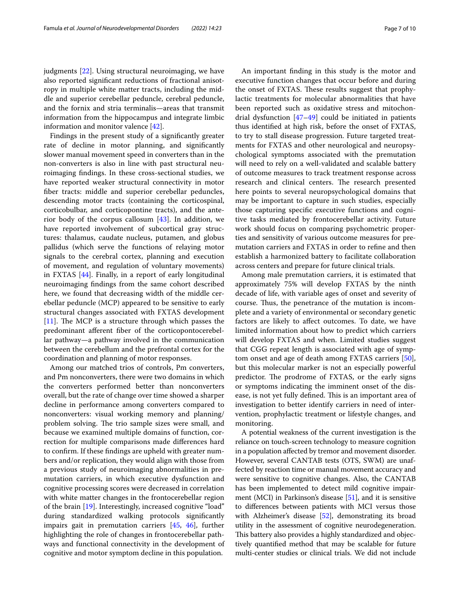judgments [\[22](#page-8-16)]. Using structural neuroimaging, we have also reported signifcant reductions of fractional anisotropy in multiple white matter tracts, including the middle and superior cerebellar peduncle, cerebral peduncle, and the fornix and stria terminalis—areas that transmit information from the hippocampus and integrate limbic information and monitor valence [\[42](#page-8-34)].

Findings in the present study of a signifcantly greater rate of decline in motor planning, and signifcantly slower manual movement speed in converters than in the non-converters is also in line with past structural neuroimaging fndings. In these cross-sectional studies, we have reported weaker structural connectivity in motor fber tracts: middle and superior cerebellar peduncles, descending motor tracts (containing the corticospinal, corticobulbar, and corticopontine tracts), and the anterior body of the corpus callosum  $[43]$  $[43]$ . In addition, we have reported involvement of subcortical gray structures: thalamus, caudate nucleus, putamen, and globus pallidus (which serve the functions of relaying motor signals to the cerebral cortex, planning and execution of movement, and regulation of voluntary movements) in FXTAS [\[44](#page-8-36)]. Finally, in a report of early longitudinal neuroimaging fndings from the same cohort described here, we found that decreasing width of the middle cerebellar peduncle (MCP) appeared to be sensitive to early structural changes associated with FXTAS development [[11\]](#page-8-37). The MCP is a structure through which passes the predominant aferent fber of the corticopontocerebellar pathway—a pathway involved in the communication between the cerebellum and the prefrontal cortex for the coordination and planning of motor responses.

Among our matched trios of controls, Pm converters, and Pm nonconverters, there were two domains in which the converters performed better than nonconverters overall, but the rate of change over time showed a sharper decline in performance among converters compared to nonconverters: visual working memory and planning/ problem solving. The trio sample sizes were small, and because we examined multiple domains of function, correction for multiple comparisons made diferences hard to confrm. If these fndings are upheld with greater numbers and/or replication, they would align with those from a previous study of neuroimaging abnormalities in premutation carriers, in which executive dysfunction and cognitive processing scores were decreased in correlation with white matter changes in the frontocerebellar region of the brain [\[19](#page-8-13)]. Interestingly, increased cognitive "load" during standardized walking protocols signifcantly impairs gait in premutation carriers [\[45](#page-8-38), [46\]](#page-9-0), further highlighting the role of changes in frontocerebellar pathways and functional connectivity in the development of cognitive and motor symptom decline in this population.

An important fnding in this study is the motor and executive function changes that occur before and during the onset of FXTAS. These results suggest that prophylactic treatments for molecular abnormalities that have been reported such as oxidative stress and mitochondrial dysfunction  $[47-49]$  $[47-49]$  could be initiated in patients thus identifed at high risk, before the onset of FXTAS, to try to stall disease progression. Future targeted treatments for FXTAS and other neurological and neuropsychological symptoms associated with the premutation will need to rely on a well-validated and scalable battery of outcome measures to track treatment response across research and clinical centers. The research presented here points to several neuropsychological domains that may be important to capture in such studies, especially those capturing specifc executive functions and cognitive tasks mediated by frontocerebellar activity. Future work should focus on comparing psychometric properties and sensitivity of various outcome measures for premutation carriers and FXTAS in order to refne and then establish a harmonized battery to facilitate collaboration across centers and prepare for future clinical trials.

Among male premutation carriers, it is estimated that approximately 75% will develop FXTAS by the ninth decade of life, with variable ages of onset and severity of course. Thus, the penetrance of the mutation is incomplete and a variety of environmental or secondary genetic factors are likely to afect outcomes. To date, we have limited information about how to predict which carriers will develop FXTAS and when. Limited studies suggest that CGG repeat length is associated with age of symptom onset and age of death among FXTAS carriers [\[50](#page-9-3)], but this molecular marker is not an especially powerful predictor. The prodrome of FXTAS, or the early signs or symptoms indicating the imminent onset of the disease, is not yet fully defined. This is an important area of investigation to better identify carriers in need of intervention, prophylactic treatment or lifestyle changes, and monitoring.

A potential weakness of the current investigation is the reliance on touch-screen technology to measure cognition in a population afected by tremor and movement disorder. However, several CANTAB tests (OTS, SWM) are unaffected by reaction time or manual movement accuracy and were sensitive to cognitive changes. Also, the CANTAB has been implemented to detect mild cognitive impairment (MCI) in Parkinson's disease [\[51](#page-9-4)], and it is sensitive to diferences between patients with MCI versus those with Alzheimer's disease [\[52\]](#page-9-5), demonstrating its broad utility in the assessment of cognitive neurodegeneration. This battery also provides a highly standardized and objectively quantifed method that may be scalable for future multi-center studies or clinical trials. We did not include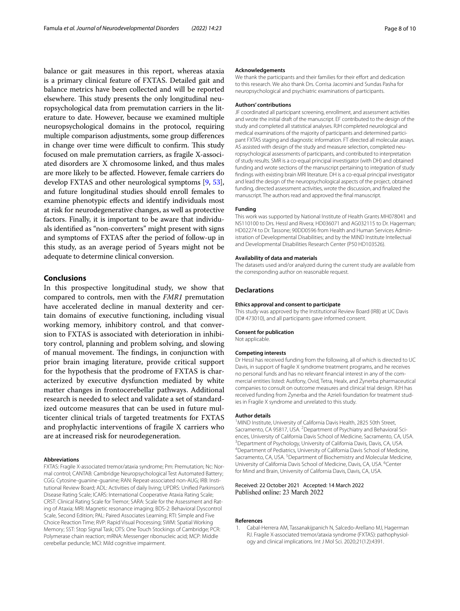balance or gait measures in this report, whereas ataxia is a primary clinical feature of FXTAS. Detailed gait and balance metrics have been collected and will be reported elsewhere. This study presents the only longitudinal neuropsychological data from premutation carriers in the literature to date. However, because we examined multiple neuropsychological domains in the protocol, requiring multiple comparison adjustments, some group diferences in change over time were difficult to confirm. This study focused on male premutation carriers, as fragile X-associated disorders are X chromosome linked, and thus males are more likely to be afected. However, female carriers do develop FXTAS and other neurological symptoms [[9](#page-8-6), [53](#page-9-6)], and future longitudinal studies should enroll females to examine phenotypic efects and identify individuals most at risk for neurodegenerative changes, as well as protective factors. Finally, it is important to be aware that individuals identifed as "non-converters" might present with signs and symptoms of FXTAS after the period of follow-up in this study, as an average period of 5years might not be adequate to determine clinical conversion.

#### **Conclusions**

In this prospective longitudinal study, we show that compared to controls, men with the *FMR1* premutation have accelerated decline in manual dexterity and certain domains of executive functioning, including visual working memory, inhibitory control, and that conversion to FXTAS is associated with deterioration in inhibitory control, planning and problem solving, and slowing of manual movement. The findings, in conjunction with prior brain imaging literature, provide critical support for the hypothesis that the prodrome of FXTAS is characterized by executive dysfunction mediated by white matter changes in frontocerebellar pathways. Additional research is needed to select and validate a set of standardized outcome measures that can be used in future multicenter clinical trials of targeted treatments for FXTAS and prophylactic interventions of fragile X carriers who are at increased risk for neurodegeneration.

#### **Abbreviations**

FXTAS: Fragile X-associated tremor/ataxia syndrome; Pm: Premutation; Nc: Normal control; CANTAB: Cambridge Neuropsychological Test Automated Battery; CGG: Cytosine-guanine-guanine; RAN: Repeat-associated non-AUG; IRB: Institutional Review Board; ADL: Activities of daily living; UPDRS: Unifed Parkinson's Disease Rating Scale; ICARS: International Cooperative Ataxia Rating Scale; CRST: Clinical Rating Scale for Tremor; SARA: Scale for the Assessment and Rating of Ataxia; MRI: Magnetic resonance imaging; BDS-2: Behavioral Dyscontrol Scale, Second Edition; PAL: Paired Associates Learning; RTI: Simple and Five Choice Reaction Time; RVP: Rapid Visual Processing; SWM: Spatial Working Memory; SST: Stop Signal Task; OTS: One Touch Stockings of Cambridge; PCR: Polymerase chain reaction; mRNA: Messenger ribonucleic acid; MCP: Middle cerebellar peduncle; MCI: Mild cognitive impairment.

#### **Acknowledgements**

We thank the participants and their families for their effort and dedication to this research. We also thank Drs. Corrisa Jacomini and Sundas Pasha for neuropsychological and psychiatric examinations of participants.

#### **Authors' contributions**

JF coordinated all participant screening, enrollment, and assessment activities and wrote the initial draft of the manuscript. EF contributed to the design of the study and completed all statistical analyses. RJH completed neurological and medical examinations of the majority of participants and determined participant FXTAS staging and diagnostic information. FT directed all molecular assays. AS assisted with design of the study and measure selection, completed neuropsychological assessments of participants, and contributed to interpretation of study results. SMR is a co-equal principal investigator (with DH) and obtained funding and wrote sections of the manuscript pertaining to integration of study fndings with existing brain MRI literature. DH is a co-equal principal investigator and lead the design of the neuropsychological aspects of the project, obtained funding, directed assessment activities, wrote the discussion, and fnalized the manuscript. The authors read and approved the fnal manuscript.

#### **Funding**

This work was supported by National Institute of Health Grants MH078041 and NS110100 to Drs. Hessl and Rivera; HD036071 and AG032115 to Dr. Hagerman; HD02274 to Dr. Tassone; 90DD0596 from Health and Human Services Administration of Developmental Disabilities; and by the MIND Institute Intellectual and Developmental Disabilities Research Center (P50 HD103526).

#### **Availability of data and materials**

The datasets used and/or analyzed during the current study are available from the corresponding author on reasonable request.

#### **Declarations**

#### **Ethics approval and consent to participate**

This study was approved by the Institutional Review Board (IRB) at UC Davis (ID# 473010), and all participants gave informed consent.

#### **Consent for publication**

Not applicable.

#### **Competing interests**

Dr Hessl has received funding from the following, all of which is directed to UC Davis, in support of fragile X syndrome treatment programs, and he receives no personal funds and has no relevant fnancial interest in any of the commercial entities listed: Autifony, Ovid, Tetra, Healx, and Zynerba pharmaceutical companies to consult on outcome measures and clinical trial design. RJH has received funding from Zynerba and the Azrieli foundation for treatment studies in Fragile X syndrome and unrelated to this study.

#### **Author details**

<sup>1</sup> MIND Institute, University of California Davis Health, 2825 50th Street, Sacramento, CA 95817, USA. <sup>2</sup> Department of Psychiatry and Behavioral Sciences, University of California Davis School of Medicine, Sacramento, CA, USA. 3 <sup>3</sup> Department of Psychology, University of California Davis, Davis, CA, USA. Department of Pediatrics, University of California Davis School of Medicine, Sacramento, CA, USA.<sup>5</sup> Department of Biochemistry and Molecular Medicine, University of California Davis School of Medicine, Davis, CA, USA. <sup>6</sup>Center for Mind and Brain, University of California Davis, Davis, CA, USA.

#### Received: 22 October 2021 Accepted: 14 March 2022 Published online: 23 March 2022

#### **References**

<span id="page-7-0"></span>1. Cabal-Herrera AM, Tassanakijpanich N, Salcedo-Arellano MJ, Hagerman RJ. Fragile X-associated tremor/ataxia syndrome (FXTAS): pathophysiology and clinical implications. Int J Mol Sci. 2020;21(12):4391.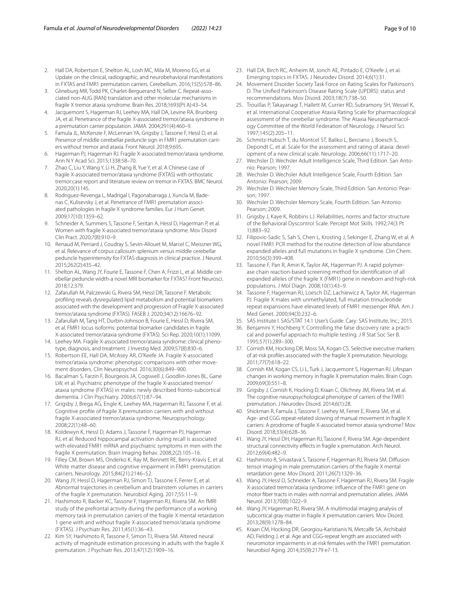- <span id="page-8-0"></span>2. Hall DA, Robertson E, Shelton AL, Losh MC, Mila M, Moreno EG, et al. Update on the clinical, radiographic, and neurobehavioral manifestations in FXTAS and FMR1 premutation carriers. Cerebellum. 2016;15(5):578–86.
- <span id="page-8-1"></span>3. Glineburg MR, Todd PK, Charlet-Berguerand N, Sellier C. Repeat-associated non-AUG (RAN) translation and other molecular mechanisms in fragile X tremor ataxia syndrome. Brain Res. 2018;1693(Pt A):43–54.
- <span id="page-8-2"></span>4. Jacquemont S, Hagerman RJ, Leehey MA, Hall DA, Levine RA, Brunberg JA, et al. Penetrance of the fragile X-associated tremor/ataxia syndrome in a premutation carrier population. JAMA. 2004;291(4):460–9.
- <span id="page-8-3"></span>5. Famula JL, McKenzie F, McLennan YA, Grigsby J, Tassone F, Hessl D, et al. Presence of middle cerebellar peduncle sign in FMR1 premutation carriers without tremor and ataxia. Front Neurol. 2018;9:695.
- 6. Hagerman PJ, Hagerman RJ. Fragile X-associated tremor/ataxia syndrome. Ann N Y Acad Sci. 2015;1338:58–70.
- <span id="page-8-4"></span>7. Zhao C, Liu Y, Wang Y, Li H, Zhang B, Yue Y, et al. A Chinese case of fragile X-associated tremor/ataxia syndrome (FXTAS) with orthostatic tremor:case report and literature review on tremor in FXTAS. BMC Neurol. 2020;20(1):145.
- <span id="page-8-5"></span>8. Rodriguez-Revenga L, Madrigal I, Pagonabarraga J, Xuncla M, Badenas C, Kulisevsky J, et al. Penetrance of FMR1 premutation associated pathologies in fragile X syndrome families. Eur J Hum Genet. 2009;17(10):1359–62.
- <span id="page-8-6"></span>Schneider A, Summers S, Tassone F, Seritan A, Hessl D, Hagerman P, et al. Women with fragile X-associated tremor/ataxia syndrome. Mov Disord Clin Pract. 2020;7(8):910–9.
- <span id="page-8-7"></span>10. Renaud M, Perriard J, Coudray S, Sevin-Allouet M, Marcel C, Meissner WG, et al. Relevance of corpus callosum splenium versus middle cerebellar peduncle hyperintensity for FXTAS diagnosis in clinical practice. J Neurol. 2015;262(2):435–42.
- <span id="page-8-37"></span>11. Shelton AL, Wang JY, Fourie E, Tassone F, Chen A, Frizzi L, et al. Middle cerebellar peduncle width-a novel MRI biomarker for FXTAS? Front Neurosci. 2018;12:379.
- 12. Zafarullah M, Palczewski G, Rivera SM, Hessl DR, Tassone F. Metabolic profling reveals dysregulated lipid metabolism and potential biomarkers associated with the development and progression of Fragile X-associated tremor/ataxia syndrome (FXTAS). FASEB J. 2020;34(12):16676–92.
- <span id="page-8-8"></span>13. Zafarullah M, Tang HT, Durbin-Johnson B, Fourie E, Hessl D, Rivera SM, et al. FMR1 locus isoforms: potential biomarker candidates in fragile X-associated tremor/ataxia syndrome (FXTAS). Sci Rep. 2020;10(1):11099.
- <span id="page-8-9"></span>14. Leehey MA. Fragile X-associated tremor/ataxia syndrome: clinical phenotype, diagnosis, and treatment. J Investig Med. 2009;57(8):830–6.
- <span id="page-8-10"></span>15. Robertson EE, Hall DA, McAsey AR, O'Keefe JA. Fragile X-associated tremor/ataxia syndrome: phenotypic comparisons with other movement disorders. Clin Neuropsychol. 2016;30(6):849–900.
- <span id="page-8-11"></span>16. Bacalman S, Farzin F, Bourgeois JA, Cogswell J, Goodlin-Jones BL, Gane LW, et al. Psychiatric phenotype of the fragile X-associated tremor/ ataxia syndrome (FXTAS) in males: newly described fronto-subcortical dementia. J Clin Psychiatry. 2006;67(1):87–94.
- 17. Grigsby J, Brega AG, Engle K, Leehey MA, Hagerman RJ, Tassone F, et al. Cognitive profle of fragile X premutation carriers with and without fragile X-associated tremor/ataxia syndrome. Neuropsychology. 2008;22(1):48–60.
- <span id="page-8-12"></span>18. Koldewyn K, Hessl D, Adams J, Tassone F, Hagerman PJ, Hagerman RJ, et al. Reduced hippocampal activation during recall is associated with elevated FMR1 mRNA and psychiatric symptoms in men with the fragile X premutation. Brain Imaging Behav. 2008;2(2):105–16.
- <span id="page-8-13"></span>19. Filley CM, Brown MS, Onderko K, Ray M, Bennett RE, Berry-Kravis E, et al. White matter disease and cognitive impairment in FMR1 premutation carriers. Neurology. 2015;84(21):2146–52.
- <span id="page-8-14"></span>20. Wang JY, Hessl D, Hagerman RJ, Simon TJ, Tassone F, Ferrer E, et al. Abnormal trajectories in cerebellum and brainstem volumes in carriers of the fragile X premutation. Neurobiol Aging. 2017;55:11–9.
- <span id="page-8-15"></span>21. Hashimoto R, Backer KC, Tassone F, Hagerman RJ, Rivera SM. An fMRI study of the prefrontal activity during the performance of a working memory task in premutation carriers of the fragile X mental retardation 1 gene with and without fragile X-associated tremor/ataxia syndrome (FXTAS). J Psychiatr Res. 2011;45(1):36–43.
- <span id="page-8-16"></span>22. Kim SY, Hashimoto R, Tassone F, Simon TJ, Rivera SM. Altered neural activity of magnitude estimation processing in adults with the fragile X premutation. J Psychiatr Res. 2013;47(12):1909–16.
- <span id="page-8-17"></span>23. Hall DA, Birch RC, Anheim M, Jonch AE, Pintado E, O'Keefe J, et al. Emerging topics in FXTAS. J Neurodev Disord. 2014;6(1):31.
- <span id="page-8-18"></span>24. Movement Disorder Society Task Force on Rating Scales for Parkinson's D. The Unifed Parkinson's Disease Rating Scale (UPDRS): status and recommendations. Mov Disord. 2003;18(7):738–50.
- <span id="page-8-19"></span>25. Trouillas P, Takayanagi T, Hallett M, Currier RD, Subramony SH, Wessel K, et al. International Cooperative Ataxia Rating Scale for pharmacological assessment of the cerebellar syndrome. The Ataxia Neuropharmacology Committee of the World Federation of Neurology. J Neurol Sci. 1997;145(2):205–11.
- <span id="page-8-20"></span>26. Schmitz-Hubsch T, du Montcel ST, Baliko L, Berciano J, Boesch S, Depondt C, et al. Scale for the assessment and rating of ataxia: development of a new clinical scale. Neurology. 2006;66(11):1717–20.
- <span id="page-8-21"></span>27. Wechsler D. Wechsler Adult Intelligence Scale, Third Edition. San Antonio: Pearson; 1997.
- <span id="page-8-22"></span>28. Wechsler D. Wechsler Adult Intelligence Scale, Fourth Edition. San Antonio: Pearson; 2009.
- <span id="page-8-23"></span>29. Wechsler D. Wechsler Memory Scale, Third Edition. San Antonio: Pearson; 1997.
- <span id="page-8-24"></span>30. Wechsler D. Wechsler Memory Scale, Fourth Edition. San Antonio: Pearson; 2009.
- <span id="page-8-25"></span>31. Grigsby J, Kaye K, Robbins LJ. Reliabilities, norms and factor structure of the Behavioral Dyscontrol Scale. Percept Mot Skills. 1992;74(3 Pt 1):883–92.
- <span id="page-8-26"></span>32. Filipovic-Sadic S, Sah S, Chen L, Krosting J, Sekinger E, Zhang W, et al. A novel FMR1 PCR method for the routine detection of low abundance expanded alleles and full mutations in fragile X syndrome. Clin Chem. 2010;56(3):399–408.
- <span id="page-8-27"></span>33. Tassone F, Pan R, Amiri K, Taylor AK, Hagerman PJ. A rapid polymerase chain reaction-based screening method for identifcation of all expanded alleles of the fragile X (FMR1) gene in newborn and high-risk populations. J Mol Diagn. 2008;10(1):43–9.
- <span id="page-8-28"></span>34. Tassone F, Hagerman RJ, Loesch DZ, Lachiewicz A, Taylor AK, Hagerman PJ. Fragile X males with unmethylated, full mutation trinucleotide repeat expansions have elevated levels of FMR1 messenger RNA. Am J Med Genet. 2000;94(3):232–6.
- <span id="page-8-29"></span>35. SAS Institute I. SAS/STAT 14.1 User's Guide. Cary: SAS Institute, Inc.; 2015.
- <span id="page-8-30"></span>36. Benjamini Y, Hochberg Y. Controlling the false discovery rate: a practical and powerful approach to multiple testing. J R Stat Soc Ser B. 1995;57(1):289–300.
- <span id="page-8-31"></span>37. Cornish KM, Hocking DR, Moss SA, Kogan CS. Selective executive markers of at-risk profles associated with the fragile X premutation. Neurology. 2011;77(7):618–22.
- 38. Cornish KM, Kogan CS, Li L, Turk J, Jacquemont S, Hagerman RJ. Lifespan changes in working memory in fragile X premutation males. Brain Cogn. 2009;69(3):551–8.
- 39. Grigsby J, Cornish K, Hocking D, Kraan C, Olichney JM, Rivera SM, et al. The cognitive neuropsychological phenotype of carriers of the FMR1 premutation. J Neurodev Disord. 2014;6(1):28.
- <span id="page-8-32"></span>40. Shickman R, Famula J, Tassone F, Leehey M, Ferrer E, Rivera SM, et al. Age- and CGG repeat-related slowing of manual movement in fragile X carriers: A prodrome of fragile X-associated tremor ataxia syndrome? Mov Disord. 2018;33(4):628–36.
- <span id="page-8-33"></span>41. Wang JY, Hessl DH, Hagerman RJ, Tassone F, Rivera SM. Age-dependent structural connectivity efects in fragile x premutation. Arch Neurol. 2012;69(4):482–9.
- <span id="page-8-34"></span>42. Hashimoto R, Srivastava S, Tassone F, Hagerman RJ, Rivera SM. Difusion tensor imaging in male premutation carriers of the fragile X mental retardation gene. Mov Disord. 2011;26(7):1329–36.
- <span id="page-8-35"></span>43. Wang JY, Hessl D, Schneider A, Tassone F, Hagerman RJ, Rivera SM. Fragile X-associated tremor/ataxia syndrome: infuence of the FMR1 gene on motor fber tracts in males with normal and premutation alleles. JAMA Neurol. 2013;70(8):1022–9.
- <span id="page-8-36"></span>44. Wang JY, Hagerman RJ, Rivera SM. A multimodal imaging analysis of subcortical gray matter in fragile X premutation carriers. Mov Disord. 2013;28(9):1278–84.
- <span id="page-8-38"></span>45. Kraan CM, Hocking DR, Georgiou-Karistianis N, Metcalfe SA, Archibald AD, Fielding J, et al. Age and CGG-repeat length are associated with neuromotor impairments in at-risk females with the FMR1 premutation. Neurobiol Aging. 2014;35(9):2179 e7-13.